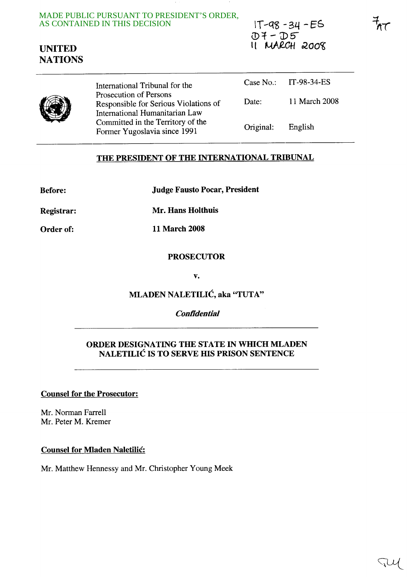MADE PUBLIC PURSUANT TO PRESIDENT'S ORDER, AS CONTAINED IN THIS DECISION

Former Yugoslavia since 1991

 $IT - q8 - 34 - ES$  $D7 - D5$ **11 MARCH 2008**  **1rr** 

# **UNITED NATIONS**

International Tribunal for the Prosecution of Persons Responsible for Serious Violations of International Humanitarian Law Committed in the Territory of the Case No.: IT-98-34-ES Date: **11** March 2008 Original: English

## **THE PRESIDENT OF THE INTERNATIONAL TRIBUNAL**

**Before: Judge Fausto Pocar, President** 

**Registrar: Mr. Hans Holthuis** 

**Order of: 11 March 2008** 

#### **PROSECUTOR**

**v.** 

## **MLADEN NALETILIC, aka "TUTA"**

#### **Confidential**

#### **ORDER DESIGNATING THE STATE IN WHICH MLADEN NALETILIC IS TO SERVE HIS PRISON SENTENCE**

**Counsel for the Prosecutor:** 

Mr. Norman Farrell Mr. Peter M. Kremer

#### **Counsel for Mladen Naletilic:**

Mr. Matthew Hennessy and Mr. Christopher Young Meek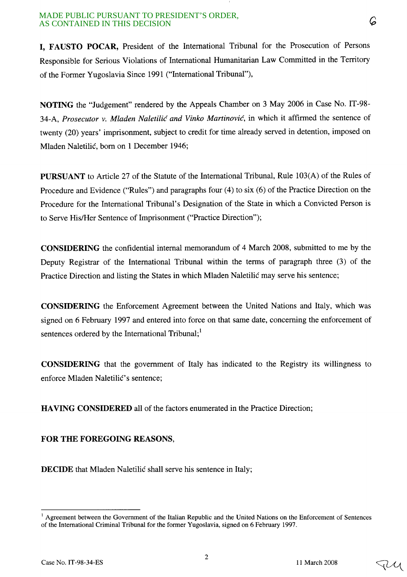I, FAUSTO POCAR, President of the International Tribunal for the Prosecution of Persons Responsible for Serious Violations of International Humanitarian Law Committed in the Territory of the Former Yugoslavia Since 1991 ("International Tribunal"),

NOTING the "Judgement" rendered by the Appeals Chamber on 3 May 2006 in Case No. IT-98- 34-A, *Prosecutor* v. *Mladen Naletilic and Vinko Martinovic,* in which it affirmed the sentence of twenty (20) years' imprisonment, subject to credit for time already served in detention, imposed on Mladen Naletilic, born on 1 December 1946;

PURSUANT to Article 27 of the Statute of the International Tribunal, Rule 103(A) of the Rules of Procedure and Evidence ("Rules") and paragraphs four (4) to six (6) of the Practice Direction on the Procedure for the International Tribunal's Designation of the State in which a Convicted Person is to Serve His/Her Sentence of Imprisonment ("Practice Direction");

CONSIDERING the confidential internal memorandum of 4 March 2008, submitted to me by the Deputy Registrar of the International Tribunal within the terms of paragraph three (3) of the Practice Direction and listing the States in which Mladen Naletilic may serve his sentence;

CONSIDERING the Enforcement Agreement between the United Nations and Italy, which was signed on 6 February 1997 and entered into force on that same date, concerning the enforcement of sentences ordered by the International Tribunal;<sup>1</sup>

CONSIDERING that the government of Italy has indicated to the Registry its willingness to enforce Mladen Naletilić's sentence;

HAVING CONSIDERED all of the factors enumerated in the Practice Direction;

### FOR THE FOREGOING REASONS,

DECIDE that Mladen Naletilic shall serve his sentence in Italy;

2

<sup>&</sup>lt;sup>1</sup> Agreement between the Government of the Italian Republic and the United Nations on the Enforcement of Sentences of the International Criminal Tribunal for the former Yugoslavia, signed on 6 February 1997.